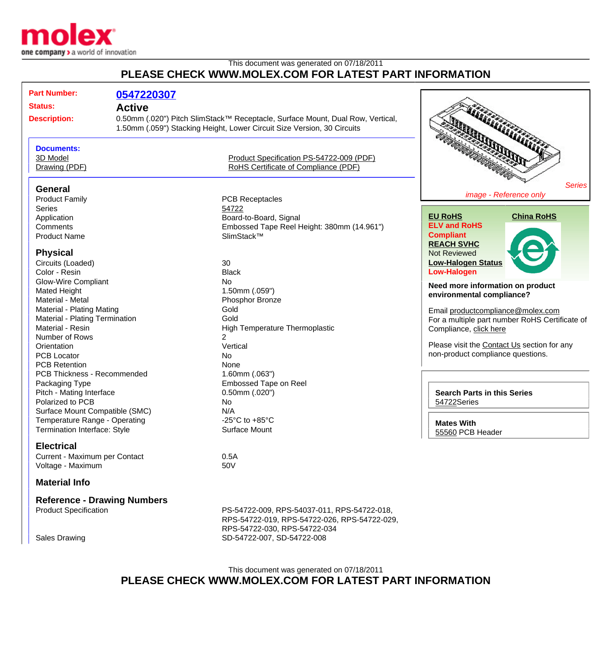

## This document was generated on 07/18/2011 **PLEASE CHECK WWW.MOLEX.COM FOR LATEST PART INFORMATION**

| <b>Part Number:</b>                | 0547220307                                                                                                                                                |                                              |                                                |
|------------------------------------|-----------------------------------------------------------------------------------------------------------------------------------------------------------|----------------------------------------------|------------------------------------------------|
| <b>Status:</b>                     | <b>Active</b>                                                                                                                                             |                                              |                                                |
| <b>Description:</b>                |                                                                                                                                                           |                                              |                                                |
|                                    | 0.50mm (.020") Pitch SlimStack™ Receptacle, Surface Mount, Dual Row, Vertical,<br>1.50mm (.059") Stacking Height, Lower Circuit Size Version, 30 Circuits |                                              |                                                |
|                                    |                                                                                                                                                           |                                              |                                                |
| <b>Documents:</b>                  |                                                                                                                                                           |                                              |                                                |
| 3D Model                           |                                                                                                                                                           | Product Specification PS-54722-009 (PDF)     |                                                |
| Drawing (PDF)                      |                                                                                                                                                           | RoHS Certificate of Compliance (PDF)         |                                                |
| <b>General</b>                     |                                                                                                                                                           |                                              | <b>Series</b>                                  |
| <b>Product Family</b>              |                                                                                                                                                           | <b>PCB Receptacles</b>                       | image - Reference only                         |
| <b>Series</b>                      |                                                                                                                                                           | 54722                                        |                                                |
| Application                        |                                                                                                                                                           | Board-to-Board, Signal                       | <b>China RoHS</b><br><b>EU RoHS</b>            |
| Comments                           |                                                                                                                                                           | Embossed Tape Reel Height: 380mm (14.961")   | <b>ELV and RoHS</b>                            |
| <b>Product Name</b>                |                                                                                                                                                           | SlimStack™                                   | <b>Compliant</b>                               |
|                                    |                                                                                                                                                           |                                              | <b>REACH SVHC</b>                              |
| <b>Physical</b>                    |                                                                                                                                                           |                                              | <b>Not Reviewed</b>                            |
| Circuits (Loaded)                  |                                                                                                                                                           | 30                                           | <b>Low-Halogen Status</b>                      |
| Color - Resin                      |                                                                                                                                                           | <b>Black</b>                                 | <b>Low-Halogen</b>                             |
| <b>Glow-Wire Compliant</b>         |                                                                                                                                                           | No                                           |                                                |
| <b>Mated Height</b>                |                                                                                                                                                           | 1.50mm (.059")                               | Need more information on product               |
| Material - Metal                   |                                                                                                                                                           | Phosphor Bronze                              | environmental compliance?                      |
| Material - Plating Mating          |                                                                                                                                                           | Gold                                         | Email productcompliance@molex.com              |
| Material - Plating Termination     |                                                                                                                                                           | Gold                                         | For a multiple part number RoHS Certificate of |
| Material - Resin                   |                                                                                                                                                           | High Temperature Thermoplastic               | Compliance, click here                         |
| Number of Rows                     |                                                                                                                                                           | $\overline{2}$                               |                                                |
| Orientation                        |                                                                                                                                                           | Vertical                                     | Please visit the Contact Us section for any    |
| <b>PCB Locator</b>                 |                                                                                                                                                           | No.                                          | non-product compliance questions.              |
| <b>PCB Retention</b>               |                                                                                                                                                           | None                                         |                                                |
| PCB Thickness - Recommended        |                                                                                                                                                           | $1.60$ mm $(.063")$                          |                                                |
| Packaging Type                     |                                                                                                                                                           | <b>Embossed Tape on Reel</b>                 |                                                |
| Pitch - Mating Interface           |                                                                                                                                                           | $0.50$ mm $(.020")$                          | <b>Search Parts in this Series</b>             |
| Polarized to PCB                   |                                                                                                                                                           | No                                           | 54722Series                                    |
| Surface Mount Compatible (SMC)     |                                                                                                                                                           | N/A                                          |                                                |
| Temperature Range - Operating      |                                                                                                                                                           | -25 $^{\circ}$ C to +85 $^{\circ}$ C         | <b>Mates With</b>                              |
| Termination Interface: Style       |                                                                                                                                                           | Surface Mount                                | 55560 PCB Header                               |
| <b>Electrical</b>                  |                                                                                                                                                           |                                              |                                                |
| Current - Maximum per Contact      |                                                                                                                                                           | 0.5A                                         |                                                |
| Voltage - Maximum                  |                                                                                                                                                           | 50V                                          |                                                |
| <b>Material Info</b>               |                                                                                                                                                           |                                              |                                                |
| <b>Reference - Drawing Numbers</b> |                                                                                                                                                           |                                              |                                                |
| <b>Product Specification</b>       |                                                                                                                                                           | PS-54722-009, RPS-54037-011, RPS-54722-018,  |                                                |
|                                    |                                                                                                                                                           | RPS-54722-019, RPS-54722-026, RPS-54722-029, |                                                |
|                                    |                                                                                                                                                           | RPS-54722-030, RPS-54722-034                 |                                                |
| <b>Sales Drawing</b>               |                                                                                                                                                           | SD-54722-007, SD-54722-008                   |                                                |

## This document was generated on 07/18/2011 **PLEASE CHECK WWW.MOLEX.COM FOR LATEST PART INFORMATION**